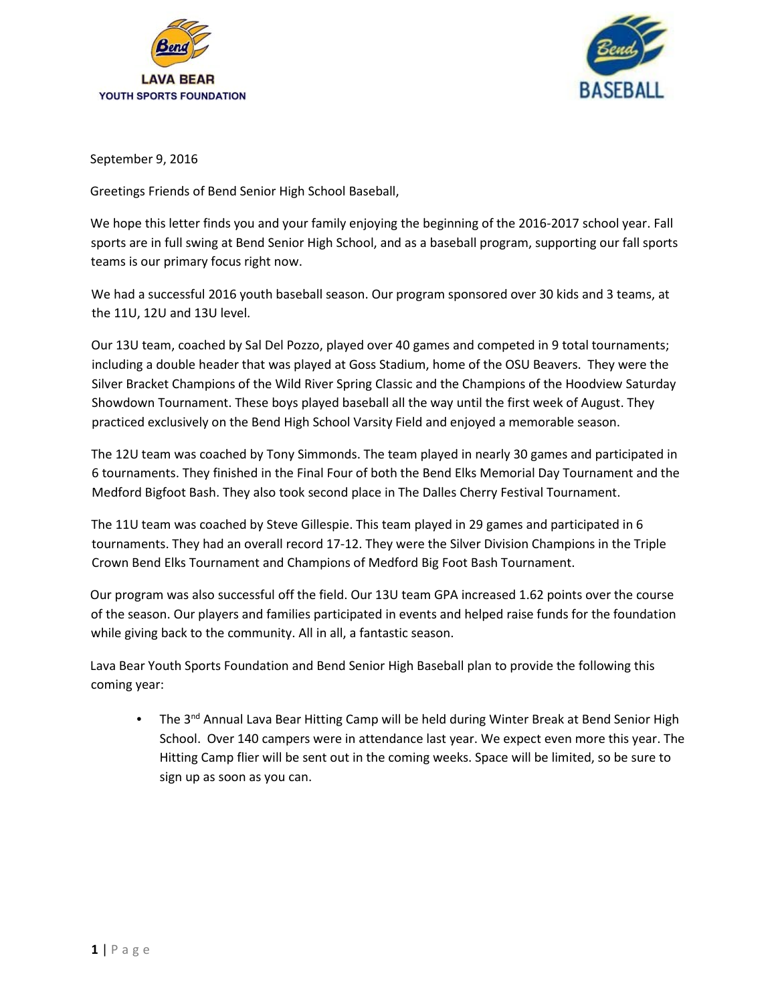



September 9, 2016

Greetings Friends of Bend Senior High School Baseball,

We hope this letter finds you and your family enjoying the beginning of the 2016-2017 school year. Fall sports are in full swing at Bend Senior High School, and as a baseball program, supporting our fall sports teams is our primary focus right now.

We had a successful 2016 youth baseball season. Our program sponsored over 30 kids and 3 teams, at the 11U, 12U and 13U level.

Our 13U team, coached by Sal Del Pozzo, played over 40 games and competed in 9 total tournaments; including a double header that was played at Goss Stadium, home of the OSU Beavers. They were the Silver Bracket Champions of the Wild River Spring Classic and the Champions of the Hoodview Saturday Showdown Tournament. These boys played baseball all the way until the first week of August. They practiced exclusively on the Bend High School Varsity Field and enjoyed a memorable season.

The 12U team was coached by Tony Simmonds. The team played in nearly 30 games and participated in 6 tournaments. They finished in the Final Four of both the Bend Elks Memorial Day Tournament and the Medford Bigfoot Bash. They also took second place in The Dalles Cherry Festival Tournament.

The 11U team was coached by Steve Gillespie. This team played in 29 games and participated in 6 tournaments. They had an overall record 17-12. They were the Silver Division Champions in the Triple Crown Bend Elks Tournament and Champions of Medford Big Foot Bash Tournament.

Our program was also successful off the field. Our 13U team GPA increased 1.62 points over the course of the season. Our players and families participated in events and helped raise funds for the foundation while giving back to the community. All in all, a fantastic season.

Lava Bear Youth Sports Foundation and Bend Senior High Baseball plan to provide the following this coming year:

• The 3<sup>nd</sup> Annual Lava Bear Hitting Camp will be held during Winter Break at Bend Senior High School. Over 140 campers were in attendance last year. We expect even more this year. The Hitting Camp flier will be sent out in the coming weeks. Space will be limited, so be sure to sign up as soon as you can.